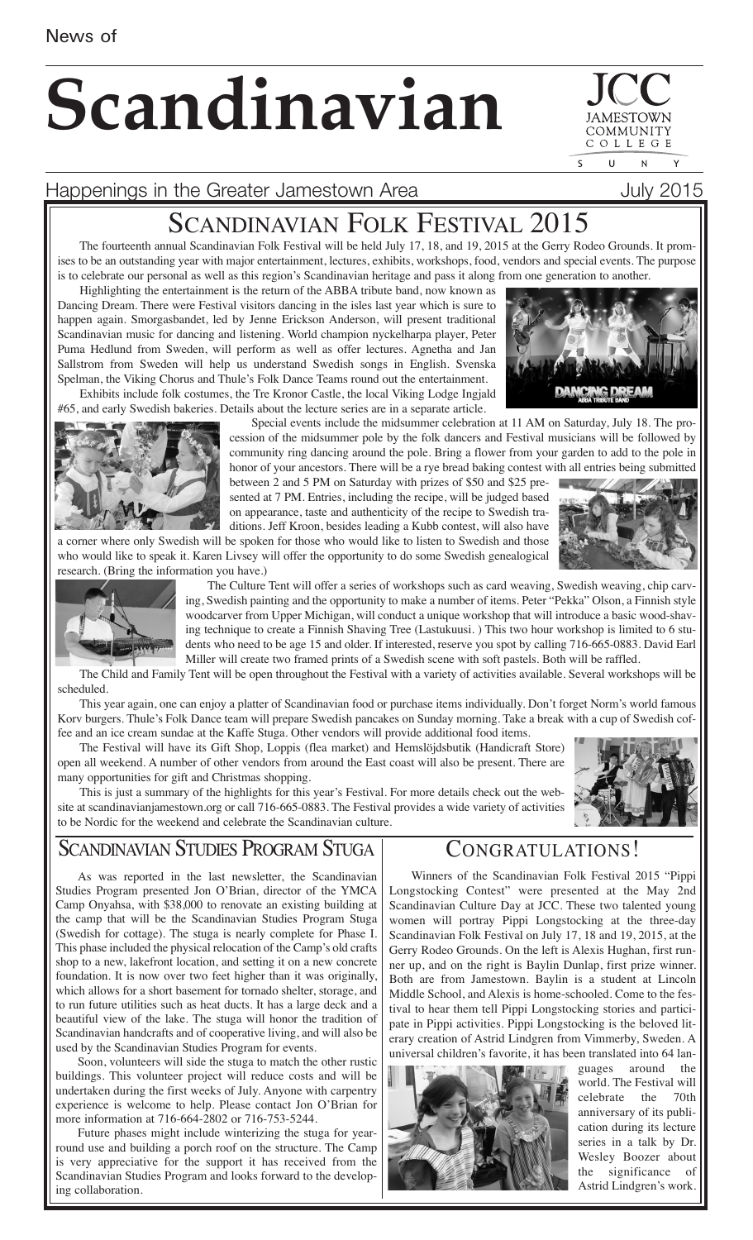# **Scandinavian**

COMMUNIT COLLEGE  $\mathbf{U}$  $\overline{N}$ 

## Happenings in the Greater Jamestown Area **Fig. 1988** July 2015

# SCANDINAVIAN FOLK FESTIVAL 2015

The fourteenth annual Scandinavian Folk Festival will be held July 17, 18, and 19, 2015 at the Gerry Rodeo Grounds. It promises to be an outstanding year with major entertainment, lectures, exhibits, workshops, food, vendors and special events. The purpose is to celebrate our personal as well as this region's Scandinavian heritage and pass it along from one generation to another.

Highlighting the entertainment is the return of the ABBA tribute band, now known as Dancing Dream. There were Festival visitors dancing in the isles last year which is sure to happen again. Smorgasbandet, led by Jenne Erickson Anderson, will present traditional Scandinavian music for dancing and listening. World champion nyckelharpa player, Peter Puma Hedlund from Sweden, will perform as well as offer lectures. Agnetha and Jan Sallstrom from Sweden will help us understand Swedish songs in English. Svenska Spelman, the Viking Chorus and Thule's Folk Dance Teams round out the entertainment.

Exhibits include folk costumes, the Tre Kronor Castle, the local Viking Lodge Ingjald #65, and early Swedish bakeries. Details about the lecture series are in a separate article.



Special events include the midsummer celebration at 11 AM on Saturday, July 18. The procession of the midsummer pole by the folk dancers and Festival musicians will be followed by community ring dancing around the pole. Bring a flower from your garden to add to the pole in honor of your ancestors. There will be a rye bread baking contest with all entries being submitted

between 2 and 5 PM on Saturday with prizes of \$50 and \$25 presented at 7 PM. Entries, including the recipe, will be judged based on appearance, taste and authenticity of the recipe to Swedish traditions. Jeff Kroon, besides leading a Kubb contest, will also have

a corner where only Swedish will be spoken for those who would like to listen to Swedish and those who would like to speak it. Karen Livsey will offer the opportunity to do some Swedish genealogical research. (Bring the information you have.)





The Culture Tent will offer a series of workshops such as card weaving, Swedish weaving, chip carving, Swedish painting and the opportunity to make a number of items. Peter "Pekka" Olson, a Finnish style woodcarver from Upper Michigan, will conduct a unique workshop that will introduce a basic wood-shaving technique to create a Finnish Shaving Tree (Lastukuusi. ) This two hour workshop is limited to 6 students who need to be age 15 and older. If interested, reserve you spot by calling 716-665-0883. David Earl Miller will create two framed prints of a Swedish scene with soft pastels. Both will be raffled.

The Child and Family Tent will be open throughout the Festival with a variety of activities available. Several workshops will be scheduled.

This year again, one can enjoy a platter of Scandinavian food or purchase items individually. Don't forget Norm's world famous Korv burgers. Thule's Folk Dance team will prepare Swedish pancakes on Sunday morning. Take a break with a cup of Swedish coffee and an ice cream sundae at the Kaffe Stuga. Other vendors will provide additional food items.

The Festival will have its Gift Shop, Loppis (flea market) and Hemslöjdsbutik (Handicraft Store) open all weekend. A number of other vendors from around the East coast will also be present. There are many opportunities for gift and Christmas shopping.

This is just a summary of the highlights for this year's Festival. For more details check out the website at scandinavianjamestown.org or call 716-665-0883. The Festival provides a wide variety of activities to be Nordic for the weekend and celebrate the Scandinavian culture.



# SCANDINAVIAN STUDIES PROGRAM STUGA

As was reported in the last newsletter, the Scandinavian Studies Program presented Jon O'Brian, director of the YMCA Camp Onyahsa, with \$38,000 to renovate an existing building at the camp that will be the Scandinavian Studies Program Stuga (Swedish for cottage). The stuga is nearly complete for Phase I. This phase included the physical relocation of the Camp's old crafts shop to a new, lakefront location, and setting it on a new concrete foundation. It is now over two feet higher than it was originally, which allows for a short basement for tornado shelter, storage, and to run future utilities such as heat ducts. It has a large deck and a beautiful view of the lake. The stuga will honor the tradition of Scandinavian handcrafts and of cooperative living, and will also be used by the Scandinavian Studies Program for events.

Soon, volunteers will side the stuga to match the other rustic buildings. This volunteer project will reduce costs and will be undertaken during the first weeks of July. Anyone with carpentry experience is welcome to help. Please contact Jon O'Brian for more information at 716-664-2802 or 716-753-5244.

Future phases might include winterizing the stuga for yearround use and building a porch roof on the structure. The Camp is very appreciative for the support it has received from the Scandinavian Studies Program and looks forward to the developing collaboration.

# CONGRATULATIONS!

Winners of the Scandinavian Folk Festival 2015 "Pippi Longstocking Contest" were presented at the May 2nd Scandinavian Culture Day at JCC. These two talented young women will portray Pippi Longstocking at the three-day Scandinavian Folk Festival on July 17, 18 and 19, 2015, at the Gerry Rodeo Grounds. On the left is Alexis Hughan, first runner up, and on the right is Baylin Dunlap, first prize winner. Both are from Jamestown. Baylin is a student at Lincoln Middle School, and Alexis is home-schooled. Come to the festival to hear them tell Pippi Longstocking stories and participate in Pippi activities. Pippi Longstocking is the beloved literary creation of Astrid Lindgren from Vimmerby, Sweden. A universal children's favorite, it has been translated into 64 lan-



guages around the world. The Festival will celebrate the 70th anniversary of its publication during its lecture series in a talk by Dr. Wesley Boozer about the significance of Astrid Lindgren's work.